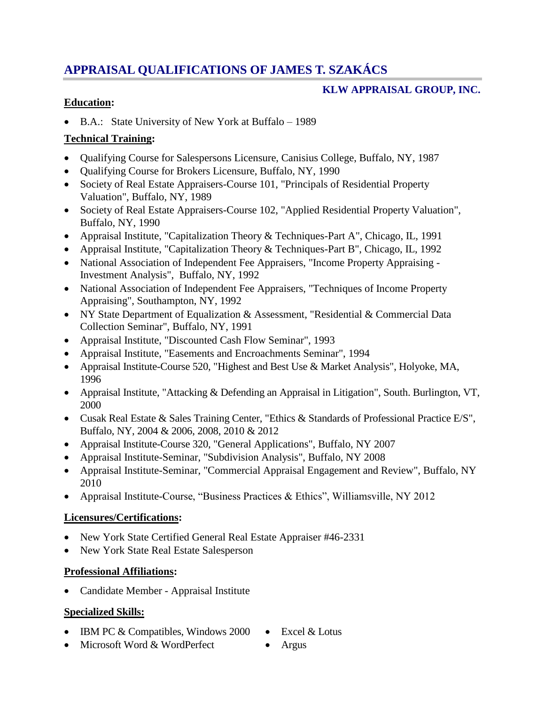# **APPRAISAL QUALIFICATIONS OF JAMES T. SZAKÁCS**

# **KLW APPRAISAL GROUP, INC.**

# **Education:**

B.A.: State University of New York at Buffalo – 1989

### **Technical Training:**

- Qualifying Course for Salespersons Licensure, Canisius College, Buffalo, NY, 1987
- Qualifying Course for Brokers Licensure, Buffalo, NY, 1990
- Society of Real Estate Appraisers-Course 101, "Principals of Residential Property Valuation", Buffalo, NY, 1989
- Society of Real Estate Appraisers-Course 102, "Applied Residential Property Valuation", Buffalo, NY, 1990
- Appraisal Institute, "Capitalization Theory & Techniques-Part A", Chicago, IL, 1991
- Appraisal Institute, "Capitalization Theory & Techniques-Part B", Chicago, IL, 1992
- National Association of Independent Fee Appraisers, "Income Property Appraising -Investment Analysis", Buffalo, NY, 1992
- National Association of Independent Fee Appraisers, "Techniques of Income Property Appraising", Southampton, NY, 1992
- NY State Department of Equalization & Assessment, "Residential & Commercial Data Collection Seminar", Buffalo, NY, 1991
- Appraisal Institute, "Discounted Cash Flow Seminar", 1993
- Appraisal Institute, "Easements and Encroachments Seminar", 1994
- Appraisal Institute-Course 520, "Highest and Best Use & Market Analysis", Holyoke, MA, 1996
- Appraisal Institute, "Attacking & Defending an Appraisal in Litigation", South. Burlington, VT, 2000
- Cusak Real Estate & Sales Training Center, "Ethics & Standards of Professional Practice E/S", Buffalo, NY, 2004 & 2006, 2008, 2010 & 2012
- Appraisal Institute-Course 320, "General Applications", Buffalo, NY 2007
- Appraisal Institute-Seminar, "Subdivision Analysis", Buffalo, NY 2008
- Appraisal Institute-Seminar, "Commercial Appraisal Engagement and Review", Buffalo, NY 2010
- Appraisal Institute-Course, "Business Practices & Ethics", Williamsville, NY 2012

# **Licensures/Certifications:**

- New York State Certified General Real Estate Appraiser #46-2331
- New York State Real Estate Salesperson

# **Professional Affiliations:**

Candidate Member - Appraisal Institute

# **Specialized Skills:**

- IBM PC  $&$  Compatibles, Windows 2000 Excel  $&$  Lotus
	-
- Microsoft Word & WordPerfect Argus
-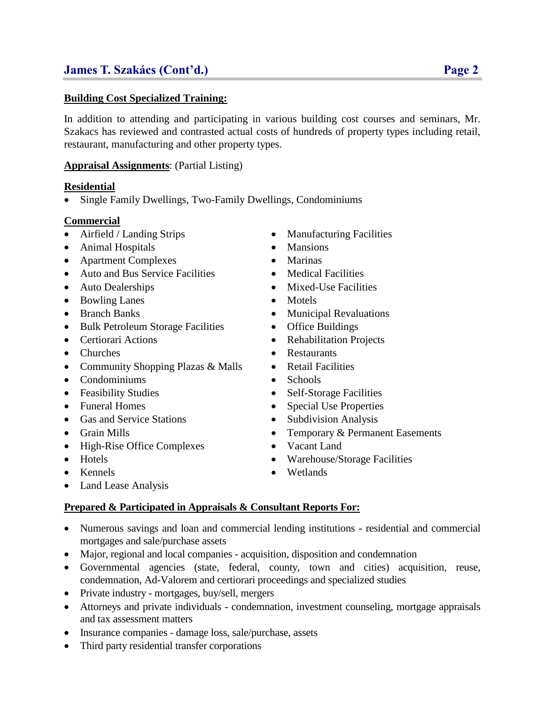#### **Building Cost Specialized Training:**

In addition to attending and participating in various building cost courses and seminars, Mr. Szakacs has reviewed and contrasted actual costs of hundreds of property types including retail, restaurant, manufacturing and other property types.

#### **Appraisal Assignments**: (Partial Listing)

#### **Residential**

• Single Family Dwellings, Two-Family Dwellings, Condominiums

#### **Commercial**

- Airfield / Landing Strips Manufacturing Facilities
- Animal Hospitals Mansions
- Apartment Complexes Marinas
- Auto and Bus Service Facilities Medical Facilities
- 
- Bowling Lanes Motels
- 
- Bulk Petroleum Storage Facilities Office Buildings
- 
- 
- Community Shopping Plazas & Malls Retail Facilities
- Condominiums Schools
- 
- 
- Gas and Service Stations Subdivision Analysis
- 
- High-Rise Office Complexes Vacant Land
- 
- 
- Land Lease Analysis

#### **Prepared & Participated in Appraisals & Consultant Reports For:**

- Numerous savings and loan and commercial lending institutions residential and commercial mortgages and sale/purchase assets
- Major, regional and local companies acquisition, disposition and condemnation
- Governmental agencies (state, federal, county, town and cities) acquisition, reuse, condemnation, Ad-Valorem and certiorari proceedings and specialized studies
- Private industry mortgages, buy/sell, mergers
- Attorneys and private individuals condemnation, investment counseling, mortgage appraisals and tax assessment matters
- Insurance companies damage loss, sale/purchase, assets
- Third party residential transfer corporations
- 
- 
- 
- 
- Auto Dealerships Mixed-Use Facilities
	-
- Branch Banks Municipal Revaluations
	-
- Certiorari Actions Rehabilitation Projects
- Churches Restaurants
	-
	-
- Feasibility Studies Self-Storage Facilities
- Funeral Homes Special Use Properties
	-
- Grain Mills Temporary & Permanent Easements
	-
- Hotels Warehouse/Storage Facilities
- Kennels Wetlands